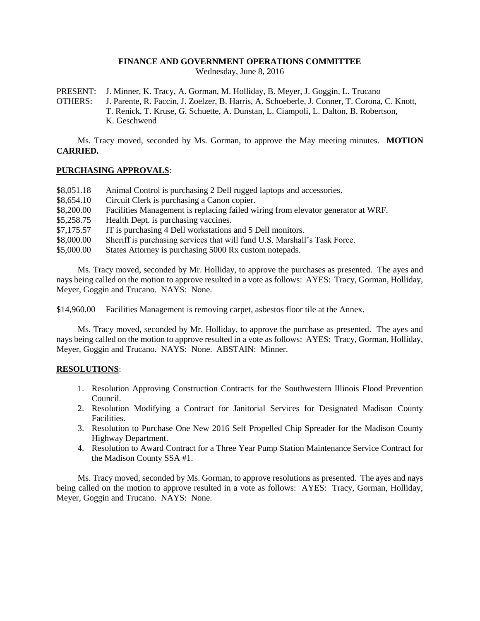### **FINANCE AND GOVERNMENT OPERATIONS COMMITTEE**

Wednesday, June 8, 2016

PRESENT: J. Minner, K. Tracy, A. Gorman, M. Holliday, B. Meyer, J. Goggin, L. Trucano

OTHERS: J. Parente, R. Faccin, J. Zoelzer, B. Harris, A. Schoeberle, J. Conner, T. Corona, C. Knott, T. Renick, T. Kruse, G. Schuette, A. Dunstan, L. Ciampoli, L. Dalton, B. Robertson, K. Geschwend

Ms. Tracy moved, seconded by Ms. Gorman, to approve the May meeting minutes. **MOTION CARRIED.**

### **PURCHASING APPROVALS**:

- \$8,051.18 Animal Control is purchasing 2 Dell rugged laptops and accessories.
- \$8,654.10 Circuit Clerk is purchasing a Canon copier.
- \$8,200.00 Facilities Management is replacing failed wiring from elevator generator at WRF.
- \$5,258.75 Health Dept. is purchasing vaccines.
- \$7,175.57 IT is purchasing 4 Dell workstations and 5 Dell monitors.
- \$8,000.00 Sheriff is purchasing services that will fund U.S. Marshall's Task Force.
- \$5,000.00 States Attorney is purchasing 5000 Rx custom notepads.

Ms. Tracy moved, seconded by Mr. Holliday, to approve the purchases as presented. The ayes and nays being called on the motion to approve resulted in a vote as follows: AYES: Tracy, Gorman, Holliday, Meyer, Goggin and Trucano. NAYS: None.

\$14,960.00 Facilities Management is removing carpet, asbestos floor tile at the Annex.

Ms. Tracy moved, seconded by Mr. Holliday, to approve the purchase as presented. The ayes and nays being called on the motion to approve resulted in a vote as follows: AYES: Tracy, Gorman, Holliday, Meyer, Goggin and Trucano. NAYS: None. ABSTAIN: Minner.

# **RESOLUTIONS**:

- 1. Resolution Approving Construction Contracts for the Southwestern Illinois Flood Prevention Council.
- 2. Resolution Modifying a Contract for Janitorial Services for Designated Madison County Facilities.
- 3. Resolution to Purchase One New 2016 Self Propelled Chip Spreader for the Madison County Highway Department.
- 4. Resolution to Award Contract for a Three Year Pump Station Maintenance Service Contract for the Madison County SSA #1.

Ms. Tracy moved, seconded by Ms. Gorman, to approve resolutions as presented. The ayes and nays being called on the motion to approve resulted in a vote as follows: AYES: Tracy, Gorman, Holliday, Meyer, Goggin and Trucano. NAYS: None.